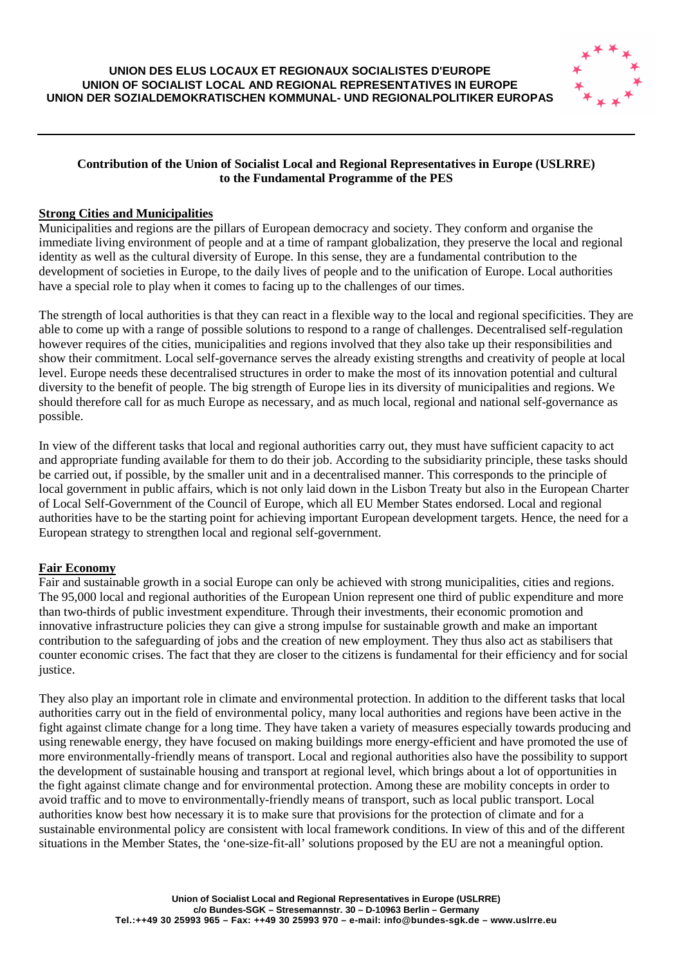

# **Contribution of the Union of Socialist Local and Regional Representatives in Europe (USLRRE) to the Fundamental Programme of the PES**

# **Strong Cities and Municipalities**

Municipalities and regions are the pillars of European democracy and society. They conform and organise the immediate living environment of people and at a time of rampant globalization, they preserve the local and regional identity as well as the cultural diversity of Europe. In this sense, they are a fundamental contribution to the development of societies in Europe, to the daily lives of people and to the unification of Europe. Local authorities have a special role to play when it comes to facing up to the challenges of our times.

The strength of local authorities is that they can react in a flexible way to the local and regional specificities. They are able to come up with a range of possible solutions to respond to a range of challenges. Decentralised self-regulation however requires of the cities, municipalities and regions involved that they also take up their responsibilities and show their commitment. Local self-governance serves the already existing strengths and creativity of people at local level. Europe needs these decentralised structures in order to make the most of its innovation potential and cultural diversity to the benefit of people. The big strength of Europe lies in its diversity of municipalities and regions. We should therefore call for as much Europe as necessary, and as much local, regional and national self-governance as possible.

In view of the different tasks that local and regional authorities carry out, they must have sufficient capacity to act and appropriate funding available for them to do their job. According to the subsidiarity principle, these tasks should be carried out, if possible, by the smaller unit and in a decentralised manner. This corresponds to the principle of local government in public affairs, which is not only laid down in the Lisbon Treaty but also in the European Charter of Local Self-Government of the Council of Europe, which all EU Member States endorsed. Local and regional authorities have to be the starting point for achieving important European development targets. Hence, the need for a European strategy to strengthen local and regional self-government.

### **Fair Economy**

Fair and sustainable growth in a social Europe can only be achieved with strong municipalities, cities and regions. The 95,000 local and regional authorities of the European Union represent one third of public expenditure and more than two-thirds of public investment expenditure. Through their investments, their economic promotion and innovative infrastructure policies they can give a strong impulse for sustainable growth and make an important contribution to the safeguarding of jobs and the creation of new employment. They thus also act as stabilisers that counter economic crises. The fact that they are closer to the citizens is fundamental for their efficiency and for social justice.

They also play an important role in climate and environmental protection. In addition to the different tasks that local authorities carry out in the field of environmental policy, many local authorities and regions have been active in the fight against climate change for a long time. They have taken a variety of measures especially towards producing and using renewable energy, they have focused on making buildings more energy-efficient and have promoted the use of more environmentally-friendly means of transport. Local and regional authorities also have the possibility to support the development of sustainable housing and transport at regional level, which brings about a lot of opportunities in the fight against climate change and for environmental protection. Among these are mobility concepts in order to avoid traffic and to move to environmentally-friendly means of transport, such as local public transport. Local authorities know best how necessary it is to make sure that provisions for the protection of climate and for a sustainable environmental policy are consistent with local framework conditions. In view of this and of the different situations in the Member States, the 'one-size-fit-all' solutions proposed by the EU are not a meaningful option.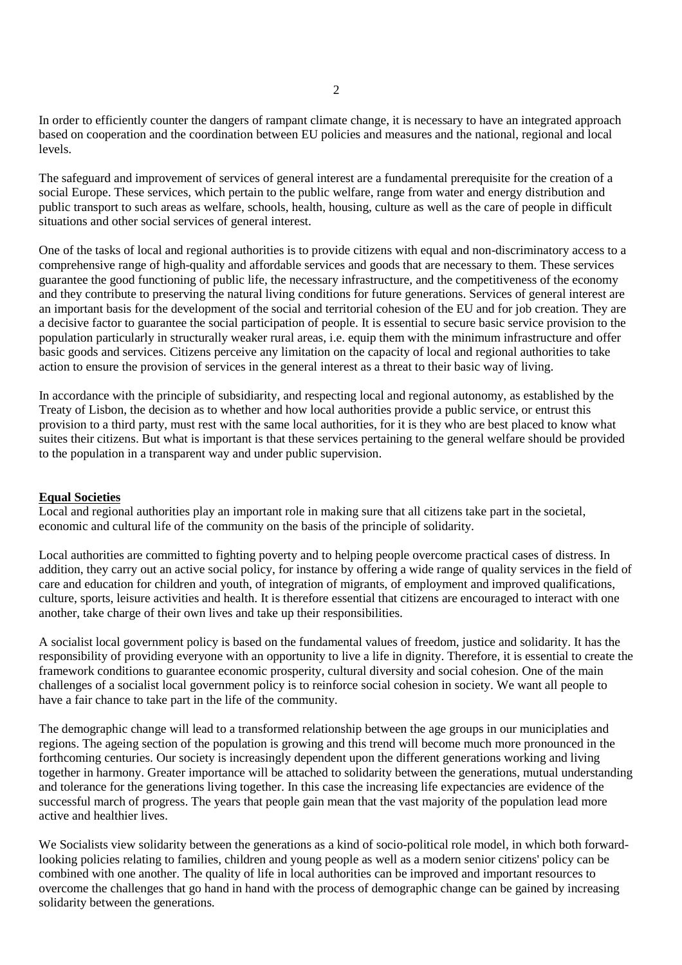In order to efficiently counter the dangers of rampant climate change, it is necessary to have an integrated approach based on cooperation and the coordination between EU policies and measures and the national, regional and local levels.

The safeguard and improvement of services of general interest are a fundamental prerequisite for the creation of a social Europe. These services, which pertain to the public welfare, range from water and energy distribution and public transport to such areas as welfare, schools, health, housing, culture as well as the care of people in difficult situations and other social services of general interest.

One of the tasks of local and regional authorities is to provide citizens with equal and non-discriminatory access to a comprehensive range of high-quality and affordable services and goods that are necessary to them. These services guarantee the good functioning of public life, the necessary infrastructure, and the competitiveness of the economy and they contribute to preserving the natural living conditions for future generations. Services of general interest are an important basis for the development of the social and territorial cohesion of the EU and for job creation. They are a decisive factor to guarantee the social participation of people. It is essential to secure basic service provision to the population particularly in structurally weaker rural areas, i.e. equip them with the minimum infrastructure and offer basic goods and services. Citizens perceive any limitation on the capacity of local and regional authorities to take action to ensure the provision of services in the general interest as a threat to their basic way of living.

In accordance with the principle of subsidiarity, and respecting local and regional autonomy, as established by the Treaty of Lisbon, the decision as to whether and how local authorities provide a public service, or entrust this provision to a third party, must rest with the same local authorities, for it is they who are best placed to know what suites their citizens. But what is important is that these services pertaining to the general welfare should be provided to the population in a transparent way and under public supervision.

### **Equal Societies**

Local and regional authorities play an important role in making sure that all citizens take part in the societal, economic and cultural life of the community on the basis of the principle of solidarity.

Local authorities are committed to fighting poverty and to helping people overcome practical cases of distress. In addition, they carry out an active social policy, for instance by offering a wide range of quality services in the field of care and education for children and youth, of integration of migrants, of employment and improved qualifications, culture, sports, leisure activities and health. It is therefore essential that citizens are encouraged to interact with one another, take charge of their own lives and take up their responsibilities.

A socialist local government policy is based on the fundamental values of freedom, justice and solidarity. It has the responsibility of providing everyone with an opportunity to live a life in dignity. Therefore, it is essential to create the framework conditions to guarantee economic prosperity, cultural diversity and social cohesion. One of the main challenges of a socialist local government policy is to reinforce social cohesion in society. We want all people to have a fair chance to take part in the life of the community.

The demographic change will lead to a transformed relationship between the age groups in our municiplaties and regions. The ageing section of the population is growing and this trend will become much more pronounced in the forthcoming centuries. Our society is increasingly dependent upon the different generations working and living together in harmony. Greater importance will be attached to solidarity between the generations, mutual understanding and tolerance for the generations living together. In this case the increasing life expectancies are evidence of the successful march of progress. The years that people gain mean that the vast majority of the population lead more active and healthier lives.

We Socialists view solidarity between the generations as a kind of socio-political role model, in which both forwardlooking policies relating to families, children and young people as well as a modern senior citizens' policy can be combined with one another. The quality of life in local authorities can be improved and important resources to overcome the challenges that go hand in hand with the process of demographic change can be gained by increasing solidarity between the generations.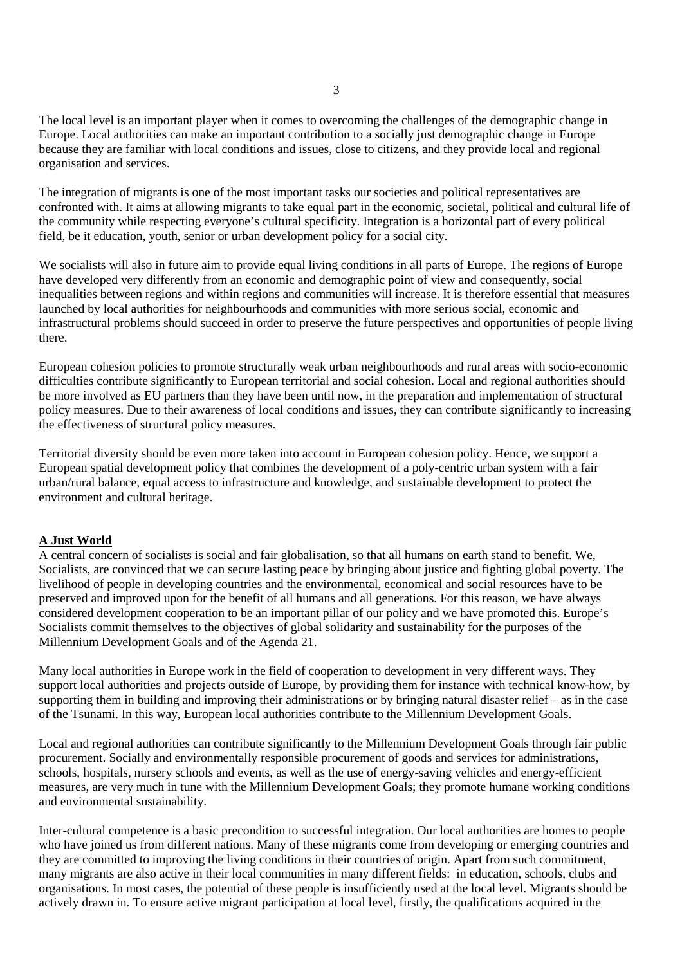The local level is an important player when it comes to overcoming the challenges of the demographic change in Europe. Local authorities can make an important contribution to a socially just demographic change in Europe because they are familiar with local conditions and issues, close to citizens, and they provide local and regional organisation and services.

The integration of migrants is one of the most important tasks our societies and political representatives are confronted with. It aims at allowing migrants to take equal part in the economic, societal, political and cultural life of the community while respecting everyone's cultural specificity. Integration is a horizontal part of every political field, be it education, youth, senior or urban development policy for a social city.

We socialists will also in future aim to provide equal living conditions in all parts of Europe. The regions of Europe have developed very differently from an economic and demographic point of view and consequently, social inequalities between regions and within regions and communities will increase. It is therefore essential that measures launched by local authorities for neighbourhoods and communities with more serious social, economic and infrastructural problems should succeed in order to preserve the future perspectives and opportunities of people living there.

European cohesion policies to promote structurally weak urban neighbourhoods and rural areas with socio-economic difficulties contribute significantly to European territorial and social cohesion. Local and regional authorities should be more involved as EU partners than they have been until now, in the preparation and implementation of structural policy measures. Due to their awareness of local conditions and issues, they can contribute significantly to increasing the effectiveness of structural policy measures.

Territorial diversity should be even more taken into account in European cohesion policy. Hence, we support a European spatial development policy that combines the development of a poly-centric urban system with a fair urban/rural balance, equal access to infrastructure and knowledge, and sustainable development to protect the environment and cultural heritage.

### **A Just World**

A central concern of socialists is social and fair globalisation, so that all humans on earth stand to benefit. We, Socialists, are convinced that we can secure lasting peace by bringing about justice and fighting global poverty. The livelihood of people in developing countries and the environmental, economical and social resources have to be preserved and improved upon for the benefit of all humans and all generations. For this reason, we have always considered development cooperation to be an important pillar of our policy and we have promoted this. Europe's Socialists commit themselves to the objectives of global solidarity and sustainability for the purposes of the Millennium Development Goals and of the Agenda 21.

Many local authorities in Europe work in the field of cooperation to development in very different ways. They support local authorities and projects outside of Europe, by providing them for instance with technical know-how, by supporting them in building and improving their administrations or by bringing natural disaster relief – as in the case of the Tsunami. In this way, European local authorities contribute to the Millennium Development Goals.

Local and regional authorities can contribute significantly to the Millennium Development Goals through fair public procurement. Socially and environmentally responsible procurement of goods and services for administrations, schools, hospitals, nursery schools and events, as well as the use of energy-saving vehicles and energy-efficient measures, are very much in tune with the Millennium Development Goals; they promote humane working conditions and environmental sustainability.

Inter-cultural competence is a basic precondition to successful integration. Our local authorities are homes to people who have joined us from different nations. Many of these migrants come from developing or emerging countries and they are committed to improving the living conditions in their countries of origin. Apart from such commitment, many migrants are also active in their local communities in many different fields: in education, schools, clubs and organisations. In most cases, the potential of these people is insufficiently used at the local level. Migrants should be actively drawn in. To ensure active migrant participation at local level, firstly, the qualifications acquired in the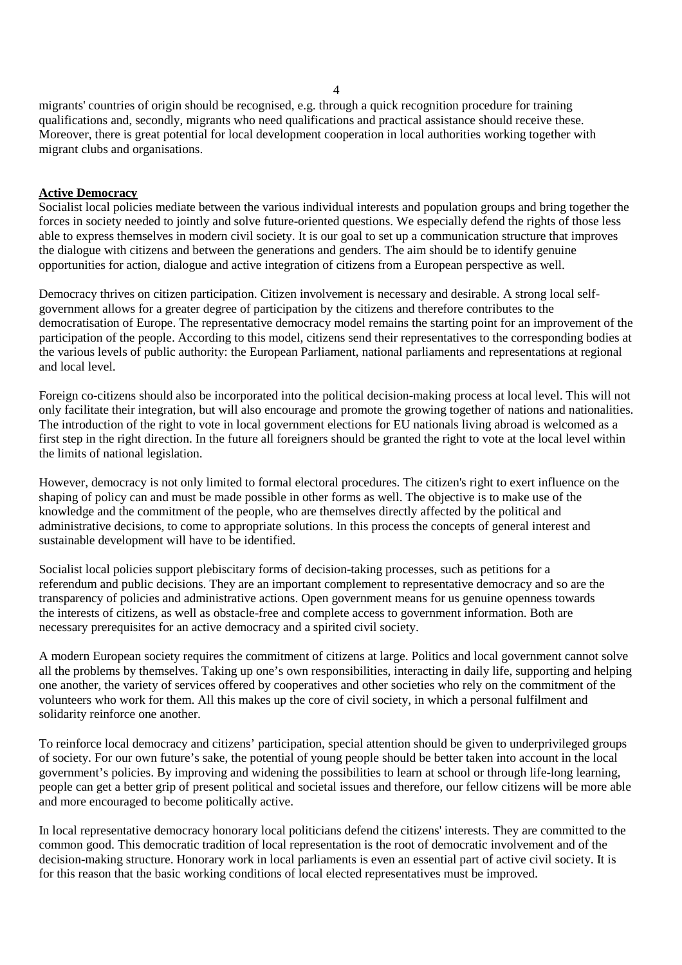migrants' countries of origin should be recognised, e.g. through a quick recognition procedure for training qualifications and, secondly, migrants who need qualifications and practical assistance should receive these. Moreover, there is great potential for local development cooperation in local authorities working together with migrant clubs and organisations.

### **Active Democracy**

Socialist local policies mediate between the various individual interests and population groups and bring together the forces in society needed to jointly and solve future-oriented questions. We especially defend the rights of those less able to express themselves in modern civil society. It is our goal to set up a communication structure that improves the dialogue with citizens and between the generations and genders. The aim should be to identify genuine opportunities for action, dialogue and active integration of citizens from a European perspective as well.

Democracy thrives on citizen participation. Citizen involvement is necessary and desirable. A strong local selfgovernment allows for a greater degree of participation by the citizens and therefore contributes to the democratisation of Europe. The representative democracy model remains the starting point for an improvement of the participation of the people. According to this model, citizens send their representatives to the corresponding bodies at the various levels of public authority: the European Parliament, national parliaments and representations at regional and local level.

Foreign co-citizens should also be incorporated into the political decision-making process at local level. This will not only facilitate their integration, but will also encourage and promote the growing together of nations and nationalities. The introduction of the right to vote in local government elections for EU nationals living abroad is welcomed as a first step in the right direction. In the future all foreigners should be granted the right to vote at the local level within the limits of national legislation.

However, democracy is not only limited to formal electoral procedures. The citizen's right to exert influence on the shaping of policy can and must be made possible in other forms as well. The objective is to make use of the knowledge and the commitment of the people, who are themselves directly affected by the political and administrative decisions, to come to appropriate solutions. In this process the concepts of general interest and sustainable development will have to be identified.

Socialist local policies support plebiscitary forms of decision-taking processes, such as petitions for a referendum and public decisions. They are an important complement to representative democracy and so are the transparency of policies and administrative actions. Open government means for us genuine openness towards the interests of citizens, as well as obstacle-free and complete access to government information. Both are necessary prerequisites for an active democracy and a spirited civil society.

A modern European society requires the commitment of citizens at large. Politics and local government cannot solve all the problems by themselves. Taking up one's own responsibilities, interacting in daily life, supporting and helping one another, the variety of services offered by cooperatives and other societies who rely on the commitment of the volunteers who work for them. All this makes up the core of civil society, in which a personal fulfilment and solidarity reinforce one another.

To reinforce local democracy and citizens' participation, special attention should be given to underprivileged groups of society. For our own future's sake, the potential of young people should be better taken into account in the local government's policies. By improving and widening the possibilities to learn at school or through life-long learning, people can get a better grip of present political and societal issues and therefore, our fellow citizens will be more able and more encouraged to become politically active.

In local representative democracy honorary local politicians defend the citizens' interests. They are committed to the common good. This democratic tradition of local representation is the root of democratic involvement and of the decision-making structure. Honorary work in local parliaments is even an essential part of active civil society. It is for this reason that the basic working conditions of local elected representatives must be improved.

4